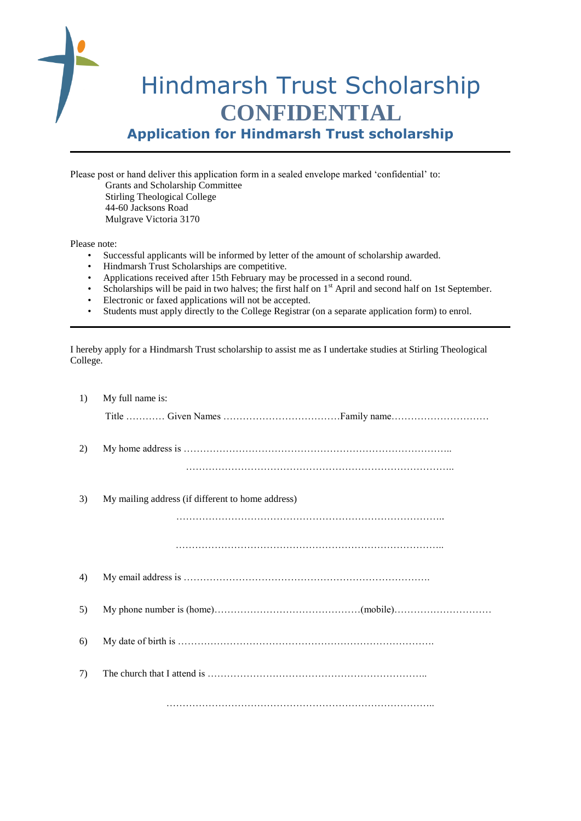

**Application for Hindmarsh Trust scholarship**

Please post or hand deliver this application form in a sealed envelope marked 'confidential' to: Grants and Scholarship Committee Stirling Theological College 44-60 Jacksons Road Mulgrave Victoria 3170

Please note:

- Successful applicants will be informed by letter of the amount of scholarship awarded.
- Hindmarsh Trust Scholarships are competitive.
- Applications received after 15th February may be processed in a second round.
- Scholarships will be paid in two halves; the first half on 1<sup>st</sup> April and second half on 1st September.
- Electronic or faxed applications will not be accepted.
- Students must apply directly to the College Registrar (on a separate application form) to enrol.

I hereby apply for a Hindmarsh Trust scholarship to assist me as I undertake studies at Stirling Theological College.

| 1) | My full name is:                                  |
|----|---------------------------------------------------|
|    |                                                   |
| 2) |                                                   |
|    |                                                   |
| 3) | My mailing address (if different to home address) |
|    |                                                   |
|    |                                                   |
| 4) |                                                   |
| 5) |                                                   |
| 6) |                                                   |
| 7) |                                                   |
|    |                                                   |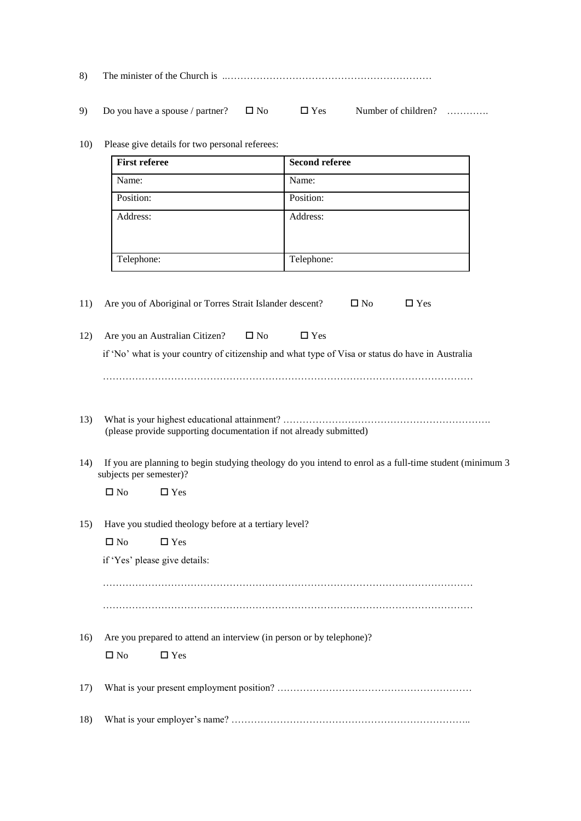| 8) |  |  |
|----|--|--|
|----|--|--|

- 9) Do you have a spouse / partner?  $\Box$  No  $\Box$  Yes Number of children? ………..
- 10) Please give details for two personal referees:

| <b>First referee</b> | <b>Second referee</b> |  |
|----------------------|-----------------------|--|
| Name:                | Name:                 |  |
| Position:            | Position:             |  |
| Address:             | Address:              |  |
| Telephone:           | Telephone:            |  |

11) Are you of Aboriginal or Torres Strait Islander descent?  $\square$  No  $\square$  Yes

| 12) Are you an Australian Citizen? $\square$ No |  |  | $\Box$ Yes |  |  |
|-------------------------------------------------|--|--|------------|--|--|
|-------------------------------------------------|--|--|------------|--|--|

if 'No' what is your country of citizenship and what type of Visa or status do have in Australia

……………………………………………………………………………………………………

- 13) What is your highest educational attainment? ………………………………………………………………………………… (please provide supporting documentation if not already submitted)
- 14) If you are planning to begin studying theology do you intend to enrol as a full-time student (minimum 3 subjects per semester)?

 $\Box$  No  $\Box$  Yes

15) Have you studied theology before at a tertiary level?

| $\square$ No | $\square$ Yes |  |
|--------------|---------------|--|
|              |               |  |

| if 'Yes' please give details: |  |
|-------------------------------|--|
|-------------------------------|--|

 …………………………………………………………………………………………………… ……………………………………………………………………………………………………

16) Are you prepared to attend an interview (in person or by telephone)?

 $\Box$  No  $\Box$  Yes

|--|--|

|--|--|--|